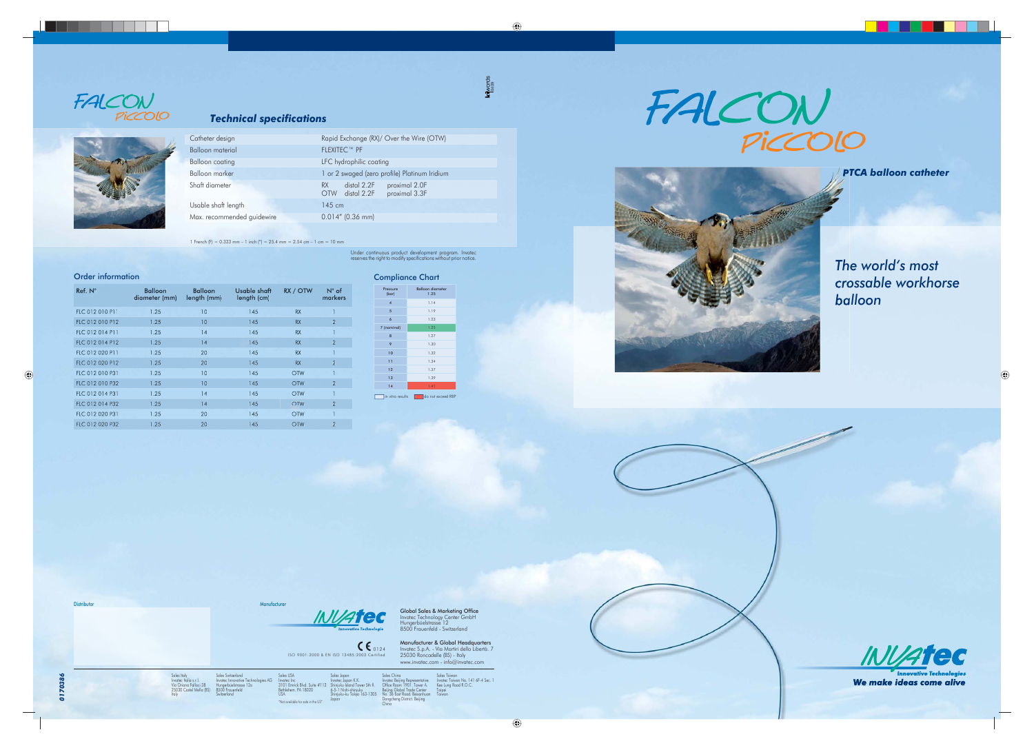

Sales Japan<br>Invatec Japan K.K.<br>Shinjuku Island Tower 5th fl.<br>6-5-1 Nishi-shinjuku<br>Shinjuku-ku Tokyo 163-1305<br>Japan

Sales Italy Invatec Italia s.r.l. Via Oriana Fallaci 38 25030 Castel Mella (BS)

Italy

#### in vitro results do not exceed RBP Pressure (bar) Balloon diameter 1.25 4 1.14 5 1.19 6 1.23 7 (nominal) 1.25 8 1.27 9 1.30  $10$  1.32 11 1.34 12 1.37 13 1.39 14 14







**Distributor Manufacturer Manufacturer** 

Sales Switzerland Invatec Innovative Technologies AG Hungerbüelstrasse 12a 8500 Frauenfeld Switzerland



Sales USA Invatec Inc 3101 Emrick Blvd. Suite #113 Bethlehem. PA 18020 USA

"Not available for sale in the US"

**Global Sales & Marketing Office**<br>Invatec Technology Center GmbH<br>Hungerbüelstrasse 12 8500 Frauenfeld - Switzerland

**Manufacturer & Global Headquarters**<br>Invatec S.p.A. - Via Martiri della Libertà. 7<br>25030 Roncadelle (BS) - Italy www.invatec.com - info@invatec.com

Sales China<br>Invatec Beijing Representative<br>Office Room 1901. Tower A.<br>Beijing Global Trade Center<br>No. 36 East Road. Beisanhuan<br>Dongcheng District. Beijing<br>China Sales Taiwan<br>Invatec Taiwan No. 141 6F-4 Sec. 1<br>Kee Lung Road R.O.C.<br>Taiwan<br>Taiwan





#### *Technical specifi cations*



*The world's most crossable workhorse balloon* 



We make ideas come alive

|  | Catheter design            | Rapid Exchange (RX)/ Over the Wire (OTW)                                                |  |  |
|--|----------------------------|-----------------------------------------------------------------------------------------|--|--|
|  | Balloon material           | <b>FLEXITEC™ PF</b>                                                                     |  |  |
|  | <b>Balloon</b> coating     | LFC hydrophilic coating                                                                 |  |  |
|  | Balloon marker             | 1 or 2 swaged (zero profile) Platinum Iridium                                           |  |  |
|  | Shaft diameter             | distal 2.2F<br>proximal 2.0F<br><b>RX</b><br>proximal 3.3F<br>distal 2.2F<br><b>OTW</b> |  |  |
|  | Usable shaft length        | $145$ cm                                                                                |  |  |
|  | Max. recommended guidewire | $0.014''$ (0.36 mm)                                                                     |  |  |
|  |                            |                                                                                         |  |  |

1 French (F) =  $0.333$  mm – 1 inch (") =  $25.4$  mm =  $2.54$  cm – 1 cm = 10 mm

Under continuous product development program. Invatec<br>reserves the right to modify specifications without prior notice.

**killwords** 

#### **Order information** Compliance Chart

| $Ref. N^\circ$  | <b>Balloon</b><br>diameter (mm) | <b>Balloon</b><br>length (mm) | Usable shaft<br>length (cm) | RX / OTW   | $N^{\circ}$ of<br>markers |
|-----------------|---------------------------------|-------------------------------|-----------------------------|------------|---------------------------|
| FLC 012 010 P11 | 1.25                            | 10                            | 145                         | <b>RX</b>  |                           |
| FLC 012 010 P12 | 1.25                            | 10                            | 145                         | <b>RX</b>  | $\overline{2}$            |
| FLC 012 014 P11 | 1.25                            | 14                            | 145                         | <b>RX</b>  |                           |
| FLC 012 014 P12 | 1.25                            | 14                            | 145                         | <b>RX</b>  | $\overline{2}$            |
| FLC 012 020 P11 | 1.25                            | 20                            | 145                         | <b>RX</b>  | $\overline{1}$            |
| FLC 012 020 P12 | 1.25                            | 20                            | 145                         | <b>RX</b>  | $\overline{2}$            |
| FLC 012 010 P31 | 1.25                            | 10                            | 145                         | <b>OTW</b> |                           |
| FLC 012 010 P32 | 1.25                            | 10                            | 145                         | <b>OTW</b> | $\overline{2}$            |
| FLC 012 014 P31 | 1.25                            | 14                            | 145                         | <b>OTW</b> |                           |
| FLC 012 014 P32 | 1.25                            | 14                            | 145                         | <b>OTW</b> | $\overline{2}$            |
| FLC 012 020 P31 | 1.25                            | 20                            | 145                         | <b>OTW</b> |                           |
| FLC 012 020 P32 | 1.25                            | 20                            | 145                         | <b>OTW</b> | $\overline{2}$            |